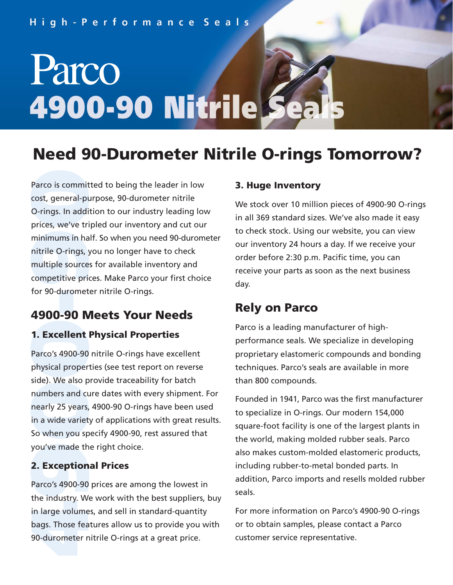# Parco **4900-90 Nitrile**

### **Need 90-Durometer Nitrile O-rings Tomorrow?**

Parco is committed to being the leader in low<br>cost, general-purpose, 90-durometer nitrile<br>O-rings. In addition to our industry leading lo<br>prices, we've tripled our inventory and cut ou<br>minimums in half. So when you need 90 cost, general-purpose, 90-durometer nitrile O-rings. In addition to our industry leading low prices, we've tripled our inventory and cut our minimums in half. So when you need 90-durometer nitrile O-rings, you no longer have to check multiple sources for available inventory and competitive prices. Make Parco your first choice for 90-durometer nitrile O-rings.

#### **4900-90 Meets Your Needs**

#### **1. Excellent Physical Properties**

Parco's 4900-90 nitrile O-rings have excellent physical properties (see test report on reverse side). We also provide traceability for batch numbers and cure dates with every shipment. For nearly 25 years, 4900-90 O-rings have been used in a wide variety of applications with great results. So when you specify 4900-90, rest assured that you've made the right choice.

#### **2. Exceptional Prices**

Parco's 4900-90 prices are among the lowest in the industry. We work with the best suppliers, buy in large volumes, and sell in standard-quantity bags. Those features allow us to provide you with 90-durometer nitrile O-rings at a great price.

#### **3. Huge Inventory**

We stock over 10 million pieces of 4900-90 O-rings in all 369 standard sizes. We've also made it easy to check stock. Using our website, you can view our inventory 24 hours a day. If we receive your order before 2:30 p.m. Pacific time, you can receive your parts as soon as the next business day.

#### **Rely on Parco**

Parco is a leading manufacturer of highperformance seals. We specialize in developing proprietary elastomeric compounds and bonding techniques. Parco's seals are available in more than 800 compounds.

Founded in 1941, Parco was the first manufacturer to specialize in O-rings. Our modern 154,000 square-foot facility is one of the largest plants in the world, making molded rubber seals. Parco also makes custom-molded elastomeric products, including rubber-to-metal bonded parts. In addition, Parco imports and resells molded rubber seals.

For more information on Parco's 4900-90 O-rings or to obtain samples, please contact a Parco customer service representative.